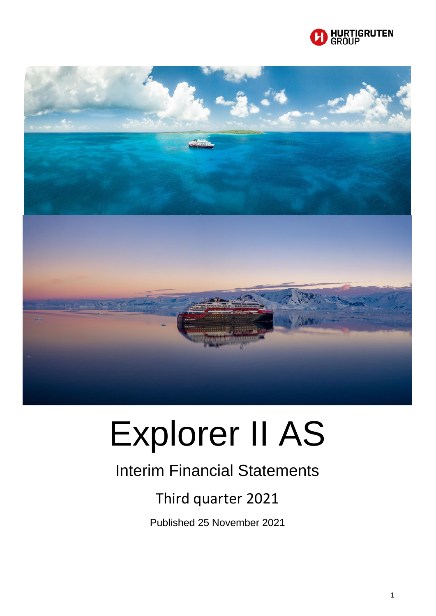



# Explorer II AS

# Interim Financial Statements

# Third quarter 2021

Published 25 November 2021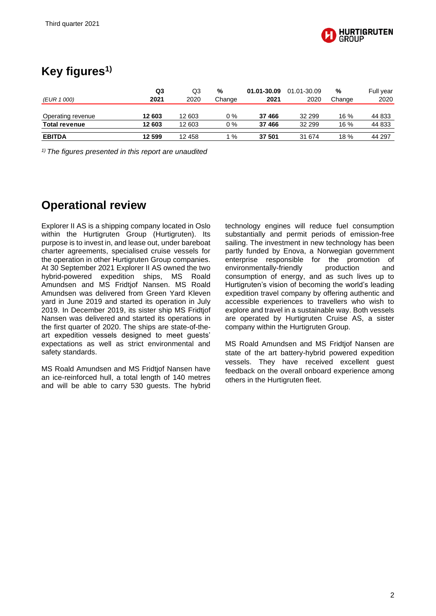

## **Key figures1)**

|                      | Q3     | Q3     | %      | 01.01-30.09 | 01.01-30.09 | %      | Full year |
|----------------------|--------|--------|--------|-------------|-------------|--------|-----------|
| (EUR 1 000)          | 2021   | 2020   | Change | 2021        | 2020        | Change | 2020      |
|                      |        |        |        |             |             |        |           |
| Operating revenue    | 12 603 | 12 603 | $0\%$  | 37 466      | 32 299      | $16\%$ | 44 833    |
| <b>Total revenue</b> | 12 603 | 12 603 | $0\%$  | 37 466      | 32 299      | 16 %   | 44 833    |
| <b>EBITDA</b>        | 12 599 | 12 458 | %      | 37 501      | 31 674      | 18 %   | 44 297    |

*1) The figures presented in this report are unaudited*

## **Operational review**

Explorer II AS is a shipping company located in Oslo within the Hurtigruten Group (Hurtigruten). Its purpose is to invest in, and lease out, under bareboat charter agreements, specialised cruise vessels for the operation in other Hurtigruten Group companies. At 30 September 2021 Explorer II AS owned the two hybrid-powered expedition ships, MS Roald Amundsen and MS Fridtjof Nansen. MS Roald Amundsen was delivered from Green Yard Kleven yard in June 2019 and started its operation in July 2019. In December 2019, its sister ship MS Fridtjof Nansen was delivered and started its operations in the first quarter of 2020. The ships are state-of-theart expedition vessels designed to meet guests' expectations as well as strict environmental and safety standards.

MS Roald Amundsen and MS Fridtjof Nansen have an ice-reinforced hull, a total length of 140 metres and will be able to carry 530 guests. The hybrid

technology engines will reduce fuel consumption substantially and permit periods of emission-free sailing. The investment in new technology has been partly funded by Enova, a Norwegian government enterprise responsible for the promotion of environmentally-friendly production and consumption of energy, and as such lives up to Hurtigruten's vision of becoming the world's leading expedition travel company by offering authentic and accessible experiences to travellers who wish to explore and travel in a sustainable way. Both vessels are operated by Hurtigruten Cruise AS, a sister company within the Hurtigruten Group.

MS Roald Amundsen and MS Fridtjof Nansen are state of the art battery-hybrid powered expedition vessels. They have received excellent guest feedback on the overall onboard experience among others in the Hurtigruten fleet.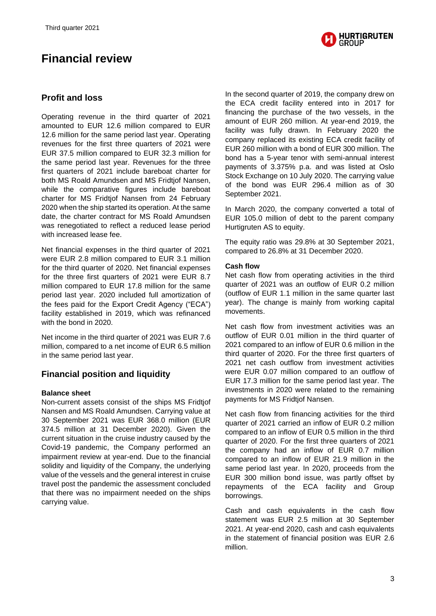## **Financial review**



#### **Profit and loss**

Operating revenue in the third quarter of 2021 amounted to EUR 12.6 million compared to EUR 12.6 million for the same period last year. Operating revenues for the first three quarters of 2021 were EUR 37.5 million compared to EUR 32.3 million for the same period last year. Revenues for the three first quarters of 2021 include bareboat charter for both MS Roald Amundsen and MS Fridtjof Nansen, while the comparative figures include bareboat charter for MS Fridtjof Nansen from 24 February 2020 when the ship started its operation. At the same date, the charter contract for MS Roald Amundsen was renegotiated to reflect a reduced lease period with increased lease fee.

Net financial expenses in the third quarter of 2021 were EUR 2.8 million compared to EUR 3.1 million for the third quarter of 2020. Net financial expenses for the three first quarters of 2021 were EUR 8.7 million compared to EUR 17.8 million for the same period last year. 2020 included full amortization of the fees paid for the Export Credit Agency ("ECA") facility established in 2019, which was refinanced with the bond in 2020.

Net income in the third quarter of 2021 was EUR 7.6 million, compared to a net income of EUR 6.5 million in the same period last year.

#### **Financial position and liquidity**

#### **Balance sheet**

Non-current assets consist of the ships MS Fridtjof Nansen and MS Roald Amundsen. Carrying value at 30 September 2021 was EUR 368.0 million (EUR 374.5 million at 31 December 2020). Given the current situation in the cruise industry caused by the Covid-19 pandemic, the Company performed an impairment review at year-end. Due to the financial solidity and liquidity of the Company, the underlying value of the vessels and the general interest in cruise travel post the pandemic the assessment concluded that there was no impairment needed on the ships carrying value.

In the second quarter of 2019, the company drew on the ECA credit facility entered into in 2017 for financing the purchase of the two vessels, in the amount of EUR 260 million. At year-end 2019, the facility was fully drawn. In February 2020 the company replaced its existing ECA credit facility of EUR 260 million with a bond of EUR 300 million. The bond has a 5-year tenor with semi-annual interest payments of 3.375% p.a. and was listed at Oslo Stock Exchange on 10 July 2020. The carrying value of the bond was EUR 296.4 million as of 30 September 2021.

In March 2020, the company converted a total of EUR 105.0 million of debt to the parent company Hurtigruten AS to equity.

The equity ratio was 29.8% at 30 September 2021, compared to 26.8% at 31 December 2020.

#### **Cash flow**

Net cash flow from operating activities in the third quarter of 2021 was an outflow of EUR 0.2 million (outflow of EUR 1.1 million in the same quarter last year). The change is mainly from working capital movements.

Net cash flow from investment activities was an outflow of EUR 0.01 million in the third quarter of 2021 compared to an inflow of EUR 0.6 million in the third quarter of 2020. For the three first quarters of 2021 net cash outflow from investment activities were EUR 0.07 million compared to an outflow of EUR 17.3 million for the same period last year. The investments in 2020 were related to the remaining payments for MS Fridtjof Nansen.

Net cash flow from financing activities for the third quarter of 2021 carried an inflow of EUR 0.2 million compared to an inflow of EUR 0.5 million in the third quarter of 2020. For the first three quarters of 2021 the company had an inflow of EUR 0.7 million compared to an inflow of EUR 21.9 million in the same period last year. In 2020, proceeds from the EUR 300 million bond issue, was partly offset by repayments of the ECA facility and Group borrowings.

Cash and cash equivalents in the cash flow statement was EUR 2.5 million at 30 September 2021. At year-end 2020, cash and cash equivalents in the statement of financial position was EUR 2.6 million.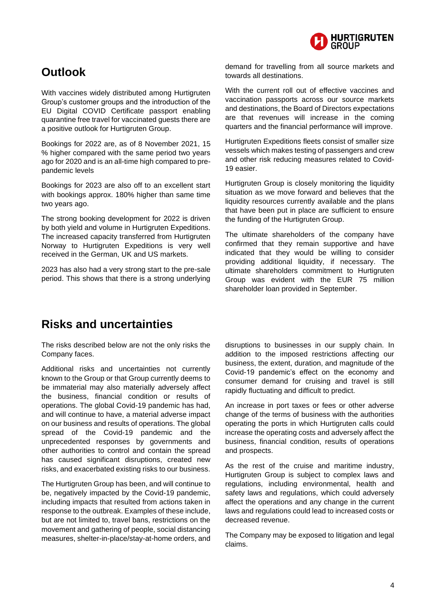

## **Outlook**

With vaccines widely distributed among Hurtigruten Group's customer groups and the introduction of the EU Digital COVID Certificate passport enabling quarantine free travel for vaccinated guests there are a positive outlook for Hurtigruten Group.

Bookings for 2022 are, as of 8 November 2021, 15 % higher compared with the same period two years ago for 2020 and is an all-time high compared to prepandemic levels

Bookings for 2023 are also off to an excellent start with bookings approx. 180% higher than same time two years ago.

The strong booking development for 2022 is driven by both yield and volume in Hurtigruten Expeditions. The increased capacity transferred from Hurtigruten Norway to Hurtigruten Expeditions is very well received in the German, UK and US markets.

2023 has also had a very strong start to the pre-sale period. This shows that there is a strong underlying demand for travelling from all source markets and towards all destinations.

With the current roll out of effective vaccines and vaccination passports across our source markets and destinations, the Board of Directors expectations are that revenues will increase in the coming quarters and the financial performance will improve.

Hurtigruten Expeditions fleets consist of smaller size vessels which makes testing of passengers and crew and other risk reducing measures related to Covid-19 easier.

Hurtigruten Group is closely monitoring the liquidity situation as we move forward and believes that the liquidity resources currently available and the plans that have been put in place are sufficient to ensure the funding of the Hurtigruten Group.

The ultimate shareholders of the company have confirmed that they remain supportive and have indicated that they would be willing to consider providing additional liquidity, if necessary. The ultimate shareholders commitment to Hurtigruten Group was evident with the EUR 75 million shareholder loan provided in September.

## **Risks and uncertainties**

The risks described below are not the only risks the Company faces.

Additional risks and uncertainties not currently known to the Group or that Group currently deems to be immaterial may also materially adversely affect the business, financial condition or results of operations. The global Covid-19 pandemic has had, and will continue to have, a material adverse impact on our business and results of operations. The global spread of the Covid-19 pandemic and the unprecedented responses by governments and other authorities to control and contain the spread has caused significant disruptions, created new risks, and exacerbated existing risks to our business.

The Hurtigruten Group has been, and will continue to be, negatively impacted by the Covid-19 pandemic, including impacts that resulted from actions taken in response to the outbreak. Examples of these include, but are not limited to, travel bans, restrictions on the movement and gathering of people, social distancing measures, shelter-in-place/stay-at-home orders, and disruptions to businesses in our supply chain. In addition to the imposed restrictions affecting our business, the extent, duration, and magnitude of the Covid-19 pandemic's effect on the economy and consumer demand for cruising and travel is still rapidly fluctuating and difficult to predict.

An increase in port taxes or fees or other adverse change of the terms of business with the authorities operating the ports in which Hurtigruten calls could increase the operating costs and adversely affect the business, financial condition, results of operations and prospects.

As the rest of the cruise and maritime industry, Hurtigruten Group is subject to complex laws and regulations, including environmental, health and safety laws and regulations, which could adversely affect the operations and any change in the current laws and regulations could lead to increased costs or decreased revenue.

The Company may be exposed to litigation and legal claims.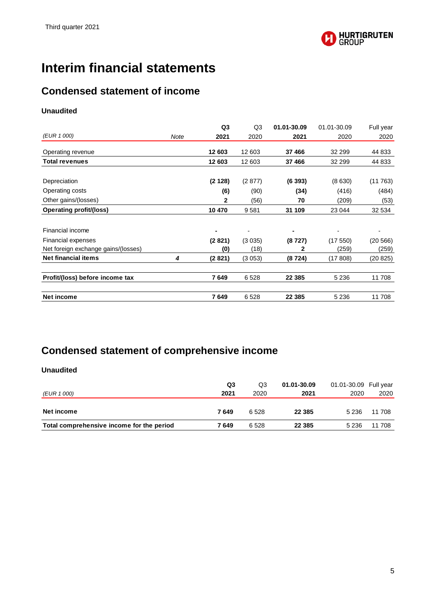

## **Interim financial statements**

### **Condensed statement of income**

#### **Unaudited**

|                                     |      | Q <sub>3</sub> | Q <sub>3</sub> | 01.01-30.09 | 01.01-30.09 | Full year |
|-------------------------------------|------|----------------|----------------|-------------|-------------|-----------|
| (EUR 1 000)                         | Note | 2021           | 2020           | 2021        | 2020        | 2020      |
| Operating revenue                   |      | 12 603         | 12 603         | 37 466      | 32 299      | 44 833    |
| <b>Total revenues</b>               |      | 12 603         | 12 603         | 37 466      | 32 299      | 44 833    |
| Depreciation                        |      | (2128)         | (2877)         | (6393)      | (8 630)     | (11763)   |
| Operating costs                     |      | (6)            | (90)           | (34)        | (416)       | (484)     |
| Other gains/(losses)                |      | 2              | (56)           | 70          | (209)       | (53)      |
| <b>Operating profit/(loss)</b>      |      | 10 470         | 9581           | 31 109      | 23 044      | 32 534    |
| Financial income                    |      |                |                |             |             |           |
| Financial expenses                  |      | (2821)         | (3035)         | (8727)      | (17550)     | (20 566)  |
| Net foreign exchange gains/(losses) |      | (0)            | (18)           | 2           | (259)       | (259)     |
| <b>Net financial items</b>          | 4    | (2821)         | (3 053)        | (8724)      | (17808)     | (20 825)  |
| Profit/(loss) before income tax     |      | 7649           | 6528           | 22 3 8 5    | 5 2 3 6     | 11708     |
| <b>Net income</b>                   |      | 7649           | 6528           | 22 3 8 5    | 5 2 3 6     | 11 708    |

## **Condensed statement of comprehensive income**

| (EUR 1 000)                               | Q3<br>2021 | Q3<br>2020 | 01.01-30.09<br>2021 | 01.01-30.09 Full year<br>2020 | 2020   |
|-------------------------------------------|------------|------------|---------------------|-------------------------------|--------|
| Net income                                | 7649       | 6 5 2 8    | 22 3 8 5            | 5 2 3 6                       | 11 708 |
| Total comprehensive income for the period | 7 649      | 6 5 28     | 22 3 8 5            | 5 2 3 6                       | 11 708 |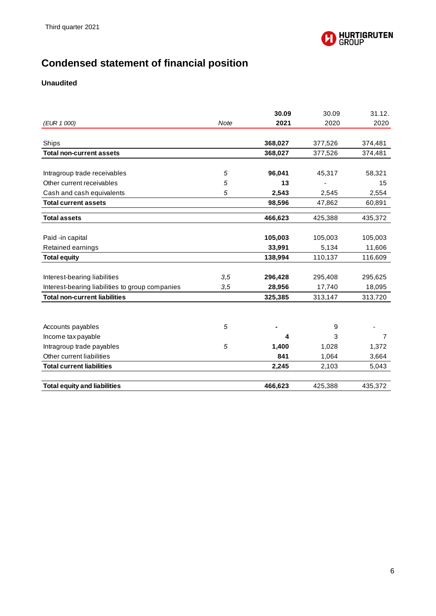

## **Condensed statement of financial position**

|                                                 |             | 30.09   | 30.09   | 31.12.         |
|-------------------------------------------------|-------------|---------|---------|----------------|
| (EUR 1 000)                                     | <b>Note</b> | 2021    | 2020    | 2020           |
|                                                 |             |         |         |                |
| Ships                                           |             | 368,027 | 377,526 | 374,481        |
| <b>Total non-current assets</b>                 |             | 368,027 | 377,526 | 374,481        |
|                                                 |             |         |         |                |
| Intragroup trade receivables                    | 5           | 96,041  | 45,317  | 58,321         |
| Other current receivables                       | 5           | 13      |         | 15             |
| Cash and cash equivalents                       | 5           | 2,543   | 2,545   | 2,554          |
| <b>Total current assets</b>                     |             | 98,596  | 47,862  | 60,891         |
| <b>Total assets</b>                             |             | 466,623 | 425,388 | 435,372        |
| Paid -in capital                                |             | 105,003 | 105,003 | 105,003        |
| Retained earnings                               |             | 33,991  | 5,134   | 11,606         |
| <b>Total equity</b>                             |             | 138,994 | 110,137 | 116,609        |
|                                                 |             |         |         |                |
| Interest-bearing liabilities                    | 3,5         | 296,428 | 295,408 | 295,625        |
| Interest-bearing liabilities to group companies | 3,5         | 28,956  | 17,740  | 18,095         |
| <b>Total non-current liabilities</b>            |             | 325,385 | 313,147 | 313,720        |
|                                                 |             |         |         |                |
| Accounts payables                               | 5           |         | 9       |                |
| Income tax payable                              |             | 4       | 3       | $\overline{7}$ |
| Intragroup trade payables                       | 5           | 1,400   | 1,028   | 1,372          |
| Other current liabilities                       |             | 841     | 1,064   | 3,664          |
| <b>Total current liabilities</b>                |             | 2,245   | 2,103   | 5,043          |
|                                                 |             |         |         |                |
| <b>Total equity and liabilities</b>             |             | 466,623 | 425,388 | 435,372        |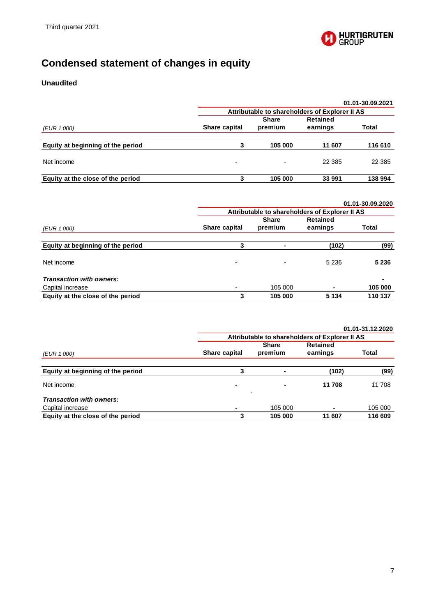

## **Condensed statement of changes in equity**

|                                   |                                                |                          |                 | 01.01-30.09.2021 |  |
|-----------------------------------|------------------------------------------------|--------------------------|-----------------|------------------|--|
|                                   | Attributable to shareholders of Explorer II AS |                          |                 |                  |  |
|                                   |                                                | <b>Share</b>             | <b>Retained</b> |                  |  |
| (EUR 1 000)                       | Share capital                                  | premium                  | earnings        | Total            |  |
|                                   |                                                |                          |                 |                  |  |
| Equity at beginning of the period |                                                | 105 000                  | 11 607          | 116 610          |  |
| Net income                        | $\overline{\phantom{0}}$                       | $\overline{\phantom{0}}$ | 22 385          | 22 3 8 5         |  |
| Equity at the close of the period | 3                                              | 105 000                  | 33 991          | 138 994          |  |

|                                   |                                                |                |                 | 01.01-30.09.2020 |  |
|-----------------------------------|------------------------------------------------|----------------|-----------------|------------------|--|
|                                   | Attributable to shareholders of Explorer II AS |                |                 |                  |  |
|                                   |                                                | <b>Share</b>   | <b>Retained</b> |                  |  |
| (EUR 1 000)                       | Share capital                                  | premium        | earnings        | Total            |  |
|                                   |                                                |                |                 |                  |  |
| Equity at beginning of the period | 3                                              | ۰              | (102)           | (99)             |  |
|                                   |                                                |                |                 |                  |  |
| Net income                        | $\blacksquare$                                 | $\blacksquare$ | 5 2 3 6         | 5 2 3 6          |  |
| <b>Transaction with owners:</b>   |                                                |                |                 | $\blacksquare$   |  |
| Capital increase                  |                                                | 105 000        |                 | 105 000          |  |
| Equity at the close of the period | 3                                              | 105 000        | 5 1 3 4         | 110 137          |  |

|                                   |                                                |              |                 | 01.01-31.12.2020 |  |  |
|-----------------------------------|------------------------------------------------|--------------|-----------------|------------------|--|--|
|                                   | Attributable to shareholders of Explorer II AS |              |                 |                  |  |  |
|                                   |                                                | <b>Share</b> | <b>Retained</b> |                  |  |  |
| (EUR 1 000)                       | Share capital                                  | premium      | earnings        | Total            |  |  |
|                                   |                                                |              |                 |                  |  |  |
| Equity at beginning of the period | 3                                              | ۰            | (102)           | (99)             |  |  |
| Net income                        | ٠                                              | ۰<br>٠       | 11 708          | 11 708           |  |  |
| <b>Transaction with owners:</b>   |                                                |              |                 |                  |  |  |
| Capital increase                  |                                                | 105 000      |                 | 105 000          |  |  |
| Equity at the close of the period | 3                                              | 105 000      | 11 607          | 116 609          |  |  |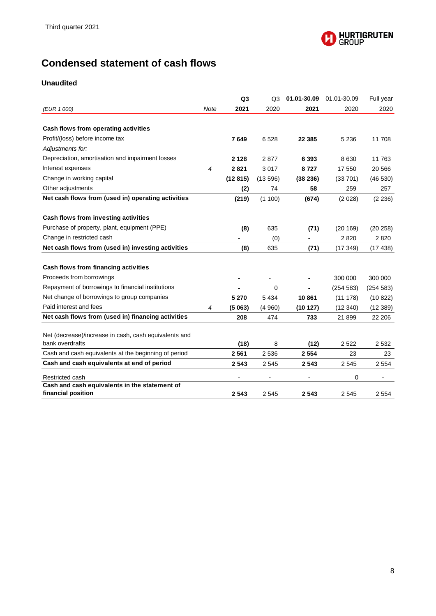

## **Condensed statement of cash flows**

|                                                                          |             | Q <sub>3</sub> | Q <sub>3</sub> | 01.01-30.09 | 01.01-30.09 | Full year |
|--------------------------------------------------------------------------|-------------|----------------|----------------|-------------|-------------|-----------|
| (EUR 1 000)                                                              | <b>Note</b> | 2021           | 2020           | 2021        | 2020        | 2020      |
|                                                                          |             |                |                |             |             |           |
| Cash flows from operating activities                                     |             |                |                |             |             |           |
| Profit/(loss) before income tax                                          |             | 7649           | 6528           | 22 3 85     | 5 2 3 6     | 11 708    |
| Adjustments for:                                                         |             |                |                |             |             |           |
| Depreciation, amortisation and impairment losses                         |             | 2 1 2 8        | 2877           | 6 3 9 3     | 8 6 3 0     | 11763     |
| Interest expenses                                                        | 4           | 2821           | 3017           | 8727        | 17 550      | 20 566    |
| Change in working capital                                                |             | (12815)        | (13596)        | (38 236)    | (33701)     | (46530)   |
| Other adjustments                                                        |             | (2)            | 74             | 58          | 259         | 257       |
| Net cash flows from (used in) operating activities                       |             | (219)          | (1100)         | (674)       | (2028)      | (2 236)   |
|                                                                          |             |                |                |             |             |           |
| Cash flows from investing activities                                     |             |                |                |             |             |           |
| Purchase of property, plant, equipment (PPE)                             |             | (8)            | 635            | (71)        | (20169)     | (20 258)  |
| Change in restricted cash                                                |             |                | (0)            |             | 2820        | 2820      |
| Net cash flows from (used in) investing activities                       |             | (8)            | 635            | (71)        | (17349)     | (17438)   |
|                                                                          |             |                |                |             |             |           |
| Cash flows from financing activities                                     |             |                |                |             |             |           |
| Proceeds from borrowings                                                 |             |                |                |             | 300 000     | 300 000   |
| Repayment of borrowings to financial institutions                        |             |                | 0              |             | (254 583)   | (254 583) |
| Net change of borrowings to group companies                              |             | 5 2 7 0        | 5 4 3 4        | 10861       | (11 178)    | (10822)   |
| Paid interest and fees                                                   | 4           | (5063)         | (4960)         | (10127)     | (12340)     | (12389)   |
| Net cash flows from (used in) financing activities                       |             | 208            | 474            | 733         | 21899       | 22 206    |
|                                                                          |             |                |                |             |             |           |
| Net (decrease)/increase in cash, cash equivalents and<br>bank overdrafts |             |                |                |             |             |           |
|                                                                          |             | (18)           | 8              | (12)        | 2 5 2 2     | 2 5 3 2   |
| Cash and cash equivalents at the beginning of period                     |             | 2 5 6 1        | 2 5 3 6        | 2 5 5 4     | 23          | 23        |
| Cash and cash equivalents at end of period                               |             | 2 5 4 3        | 2 5 4 5        | 2 5 4 3     | 2 5 4 5     | 2 5 5 4   |
| Restricted cash                                                          |             |                |                |             | 0           |           |
| Cash and cash equivalents in the statement of                            |             |                |                |             |             |           |
| financial position                                                       |             | 2 5 4 3        | 2545           | 2 5 4 3     | 2545        | 2 5 5 4   |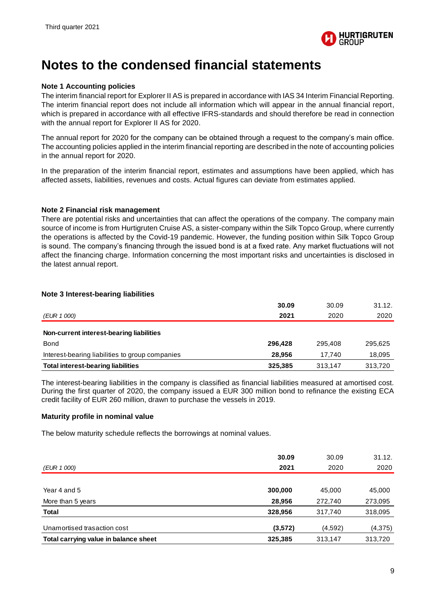

## **Notes to the condensed financial statements**

#### **Note 1 Accounting policies**

The interim financial report for Explorer II AS is prepared in accordance with IAS 34 Interim Financial Reporting. The interim financial report does not include all information which will appear in the annual financial report, which is prepared in accordance with all effective IFRS-standards and should therefore be read in connection with the annual report for Explorer II AS for 2020.

The annual report for 2020 for the company can be obtained through a request to the company's main office. The accounting policies applied in the interim financial reporting are described in the note of accounting policies in the annual report for 2020.

In the preparation of the interim financial report, estimates and assumptions have been applied, which has affected assets, liabilities, revenues and costs. Actual figures can deviate from estimates applied.

#### **Note 2 Financial risk management**

There are potential risks and uncertainties that can affect the operations of the company. The company main source of income is from Hurtigruten Cruise AS, a sister-company within the Silk Topco Group, where currently the operations is affected by the Covid-19 pandemic. However, the funding position within Silk Topco Group is sound. The company's financing through the issued bond is at a fixed rate. Any market fluctuations will not affect the financing charge. Information concerning the most important risks and uncertainties is disclosed in the latest annual report.

#### **Note 3 Interest-bearing liabilities**

|                                                 | 30.09   | 30.09   | 31.12.  |
|-------------------------------------------------|---------|---------|---------|
| (EUR 1 000)                                     | 2021    | 2020    | 2020    |
| Non-current interest-bearing liabilities        |         |         |         |
| <b>Bond</b>                                     | 296.428 | 295.408 | 295,625 |
| Interest-bearing liabilities to group companies | 28.956  | 17.740  | 18,095  |
| <b>Total interest-bearing liabilities</b>       | 325.385 | 313.147 | 313,720 |

The interest-bearing liabilities in the company is classified as financial liabilities measured at amortised cost. During the first quarter of 2020, the company issued a EUR 300 million bond to refinance the existing ECA credit facility of EUR 260 million, drawn to purchase the vessels in 2019.

#### **Maturity profile in nominal value**

The below maturity schedule reflects the borrowings at nominal values.

|                                       | 30.09   | 30.09   | 31.12.   |
|---------------------------------------|---------|---------|----------|
| (EUR 1 000)                           | 2021    | 2020    | 2020     |
|                                       |         |         |          |
| Year 4 and 5                          | 300,000 | 45,000  | 45,000   |
| More than 5 years                     | 28,956  | 272.740 | 273,095  |
| Total                                 | 328,956 | 317,740 | 318,095  |
| Unamortised trasaction cost           | (3,572) | (4,592) | (4, 375) |
| Total carrying value in balance sheet | 325,385 | 313,147 | 313,720  |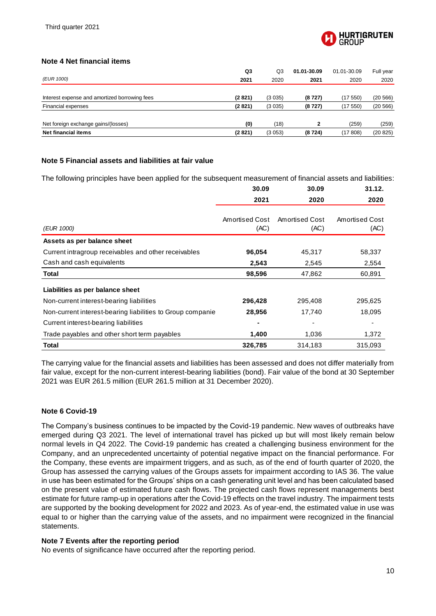

#### **Note 4 Net financial items**

| 2020     |
|----------|
|          |
| (20 566) |
| (20 566) |
|          |
| (259)    |
| (20 825) |
|          |

#### **Note 5 Financial assets and liabilities at fair value**

The following principles have been applied for the subsequent measurement of financial assets and liabilities:

|                                                            | 30.09                  | 30.09                  | 31.12.                 |
|------------------------------------------------------------|------------------------|------------------------|------------------------|
|                                                            | 2021                   | 2020                   | 2020                   |
| (EUR 1000)                                                 | Amortised Cost<br>(AC) | Amortised Cost<br>(AC) | Amortised Cost<br>(AC) |
| Assets as per balance sheet                                |                        |                        |                        |
| Current intragroup receivables and other receivables       | 96,054                 | 45,317                 | 58,337                 |
| Cash and cash equivalents                                  | 2,543                  | 2,545                  | 2,554                  |
| Total                                                      | 98,596                 | 47,862                 | 60,891                 |
| Liabilities as per balance sheet                           |                        |                        |                        |
| Non-current interest-bearing liabilities                   | 296,428                | 295,408                | 295,625                |
| Non-current interest-bearing liabilities to Group companie | 28,956                 | 17,740                 | 18,095                 |
| Current interest-bearing liabilities                       |                        | ٠                      |                        |
| Trade payables and other short term payables               | 1,400                  | 1,036                  | 1,372                  |
| Total                                                      | 326,785                | 314,183                | 315,093                |

The carrying value for the financial assets and liabilities has been assessed and does not differ materially from fair value, except for the non-current interest-bearing liabilities (bond). Fair value of the bond at 30 September 2021 was EUR 261.5 million (EUR 261.5 million at 31 December 2020).

#### **Note 6 Covid-19**

The Company's business continues to be impacted by the Covid-19 pandemic. New waves of outbreaks have emerged during Q3 2021. The level of international travel has picked up but will most likely remain below normal levels in Q4 2022. The Covid-19 pandemic has created a challenging business environment for the Company, and an unprecedented uncertainty of potential negative impact on the financial performance. For the Company, these events are impairment triggers, and as such, as of the end of fourth quarter of 2020, the Group has assessed the carrying values of the Groups assets for impairment according to IAS 36. The value in use has been estimated for the Groups' ships on a cash generating unit level and has been calculated based on the present value of estimated future cash flows. The projected cash flows represent managements best estimate for future ramp-up in operations after the Covid-19 effects on the travel industry. The impairment tests are supported by the booking development for 2022 and 2023. As of year-end, the estimated value in use was equal to or higher than the carrying value of the assets, and no impairment were recognized in the financial statements.

#### **Note 7 Events after the reporting period**

No events of significance have occurred after the reporting period.